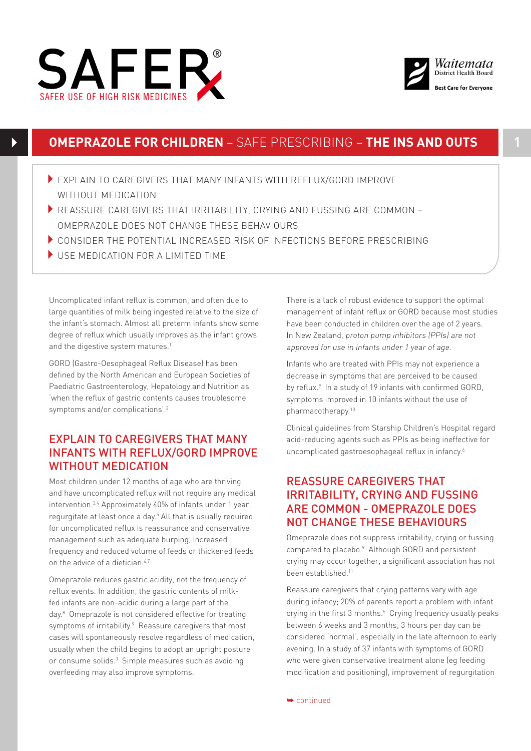



# **OMEPRAZOLE FOR CHILDREN** – SAFE PRESCRIBING – **THE INS AND OUTS 1**

- EXPLAIN TO CAREGIVERS THAT MANY INFANTS WITH REFLUX/GORD IMPROVE WITHOUT MEDICATION
- $\blacktriangleright$  REASSURE CAREGIVERS THAT IRRITABILITY, CRYING AND FUSSING ARE COMMON OMEPRAZOLE DOES NOT CHANGE THESE BEHAVIOURS
- 4CONSIDER THE POTENTIAL INCREASED RISK OF INFECTIONS BEFORE PRESCRIBING
- $\blacktriangleright$  USE MEDICATION FOR A LIMITED TIME

Uncomplicated infant reflux is common, and often due to large quantities of milk being ingested relative to the size of the infant's stomach. Almost all preterm infants show some degree of reflux which usually improves as the infant grows and the digestive system matures.<sup>1</sup>

GORD (Gastro-Oesophageal Reflux Disease) has been defined by the North American and European Societies of Paediatric Gastroenterology, Hepatology and Nutrition as 'when the reflux of gastric contents causes troublesome symptoms and/or complications'.2

## EXPLAIN TO CAREGIVERS THAT MANY INFANTS WITH REFLUX/GORD IMPROVE WITHOUT MEDICATION

Most children under 12 months of age who are thriving and have uncomplicated reflux will not require any medical intervention.3,4 Approximately 40% of infants under 1 year, regurgitate at least once a day.<sup>5</sup> All that is usually required for uncomplicated reflux is reassurance and conservative management such as adequate burping, increased frequency and reduced volume of feeds or thickened feeds on the advice of a dietician.<sup>6,7</sup>

Omeprazole reduces gastric acidity, not the frequency of reflux events. In addition, the gastric contents of milkfed infants are non-acidic during a large part of the day.<sup>8</sup> Omeprazole is not considered effective for treating symptoms of irritability.<sup>9</sup> Reassure caregivers that most cases will spontaneously resolve regardless of medication, usually when the child begins to adopt an upright posture or consume solids.<sup>3</sup> Simple measures such as avoiding overfeeding may also improve symptoms.

There is a lack of robust evidence to support the optimal management of infant reflux or GORD because most studies have been conducted in children over the age of 2 years. In New Zealand, proton pump inhibitors (PPIs) are not approved for use in infants under 1 year of age.

Infants who are treated with PPIs may not experience a decrease in symptoms that are perceived to be caused by reflux.<sup>9</sup> In a study of 19 infants with confirmed GORD, symptoms improved in 10 infants without the use of pharmacotherapy.10

Clinical guidelines from Starship Children's Hospital regard acid-reducing agents such as PPIs as being ineffective for uncomplicated gastroesophageal reflux in infancy.<sup>6</sup>

## REASSURE CAREGIVERS THAT IRRITABILITY, CRYING AND FUSSING ARE COMMON - OMEPRAZOLE DOES NOT CHANGE THESE BEHAVIOURS

Omeprazole does not suppress irritability, crying or fussing compared to placebo.<sup>9</sup> Although GORD and persistent crying may occur together, a significant association has not been established.11

Reassure caregivers that crying patterns vary with age during infancy; 20% of parents report a problem with infant crying in the first 3 months.<sup>5</sup> Crying frequency usually peaks between 6 weeks and 3 months; 3 hours per day can be considered 'normal', especially in the late afternoon to early evening. In a study of 37 infants with symptoms of GORD who were given conservative treatment alone (eg feeding modification and positioning), improvement of regurgitation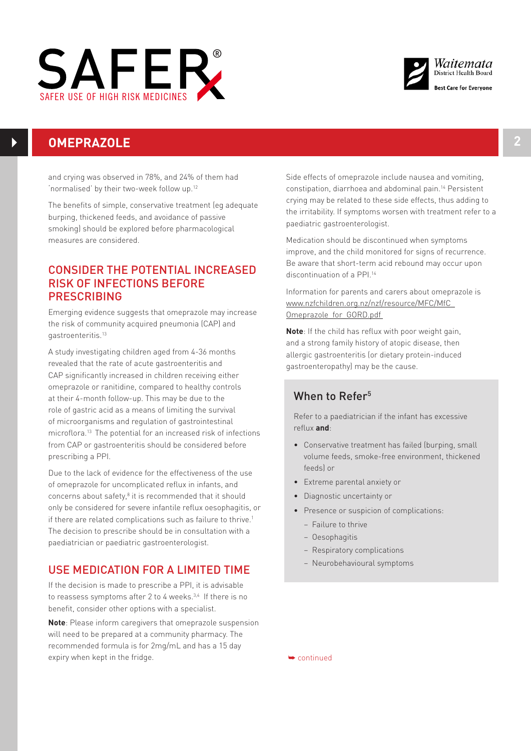



# **OMEPRAZOLE 2**

and crying was observed in 78%, and 24% of them had 'normalised' by their two-week follow up.12

The benefits of simple, conservative treatment (eg adequate burping, thickened feeds, and avoidance of passive smoking) should be explored before pharmacological measures are considered.

## CONSIDER THE POTENTIAL INCREASED RISK OF INFECTIONS BEFORE PRESCRIBING

Emerging evidence suggests that omeprazole may increase the risk of community acquired pneumonia (CAP) and gastroenteritis.13

A study investigating children aged from 4-36 months revealed that the rate of acute gastroenteritis and CAP significantly increased in children receiving either omeprazole or ranitidine, compared to healthy controls at their 4-month follow-up. This may be due to the role of gastric acid as a means of limiting the survival of microorganisms and regulation of gastrointestinal microflora.13 The potential for an increased risk of infections from CAP or gastroenteritis should be considered before prescribing a PPI.

Due to the lack of evidence for the effectiveness of the use of omeprazole for uncomplicated reflux in infants, and concerns about safety,<sup>8</sup> it is recommended that it should only be considered for severe infantile reflux oesophagitis, or if there are related complications such as failure to thrive.<sup>1</sup> The decision to prescribe should be in consultation with a paediatrician or paediatric gastroenterologist.

## USE MEDICATION FOR A LIMITED TIME

If the decision is made to prescribe a PPI, it is advisable to reassess symptoms after 2 to 4 weeks.<sup>3,4</sup> If there is no benefit, consider other options with a specialist.

**Note**: Please inform caregivers that omeprazole suspension will need to be prepared at a community pharmacy. The recommended formula is for 2mg/mL and has a 15 day expiry when kept in the fridge.

Side effects of omeprazole include nausea and vomiting, constipation, diarrhoea and abdominal pain.14 Persistent crying may be related to these side effects, thus adding to the irritability. If symptoms worsen with treatment refer to a paediatric gastroenterologist.

Medication should be discontinued when symptoms improve, and the child monitored for signs of recurrence. Be aware that short-term acid rebound may occur upon discontinuation of a PPI.<sup>14</sup>

Information for parents and carers about omeprazole is www.nzfchildren.org.nz/nzf/resource/MFC/MfC\_ Omeprazole\_for\_GORD.pdf

**Note**: If the child has reflux with poor weight gain, and a strong family history of atopic disease, then allergic gastroenteritis (or dietary protein-induced gastroenteropathy) may be the cause.

# When to Refer<sup>5</sup>

Refer to a paediatrician if the infant has excessive reflux **and**:

- Conservative treatment has failed (burping, small volume feeds, smoke-free environment, thickened feeds) or
- Extreme parental anxiety or
- Diagnostic uncertainty or
- Presence or suspicion of complications:
	- Failure to thrive
	- Oesophagitis
	- Respiratory complications
	- Neurobehavioural symptoms